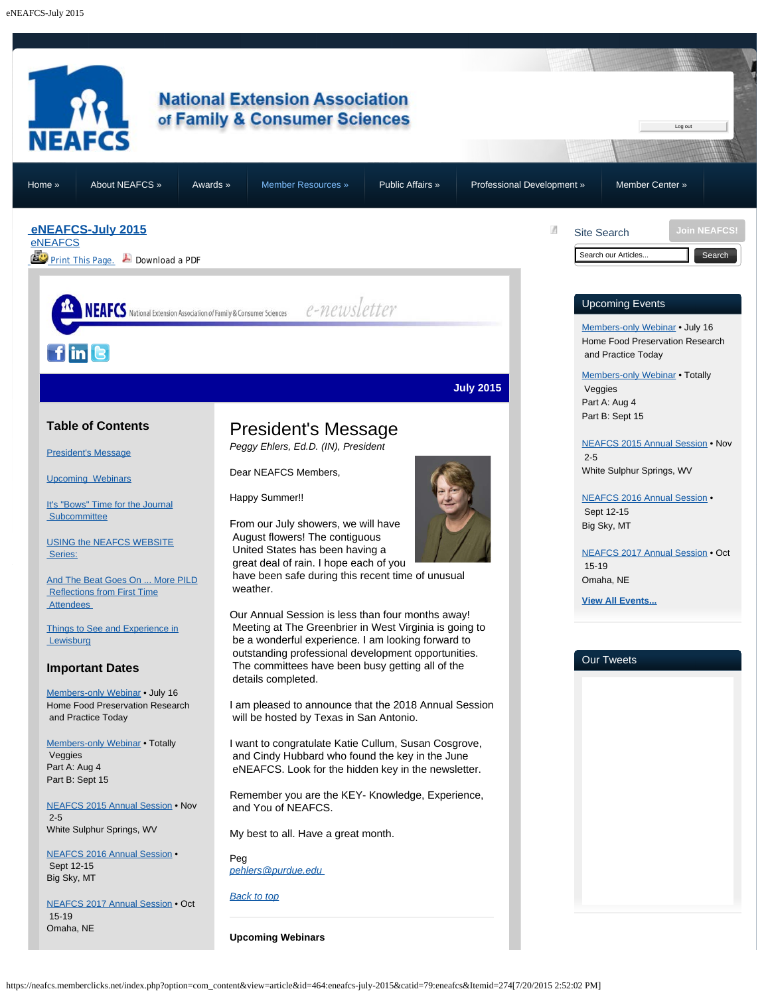<span id="page-0-3"></span><span id="page-0-1"></span><span id="page-0-0"></span>

<span id="page-0-2"></span>https://neafcs.memberclicks.net/index.php?option=com\_content&view=article&id=464:eneafcs-july-2015&catid=79:eneafcs&Itemid=274[7/20/2015 2:52:02 PM]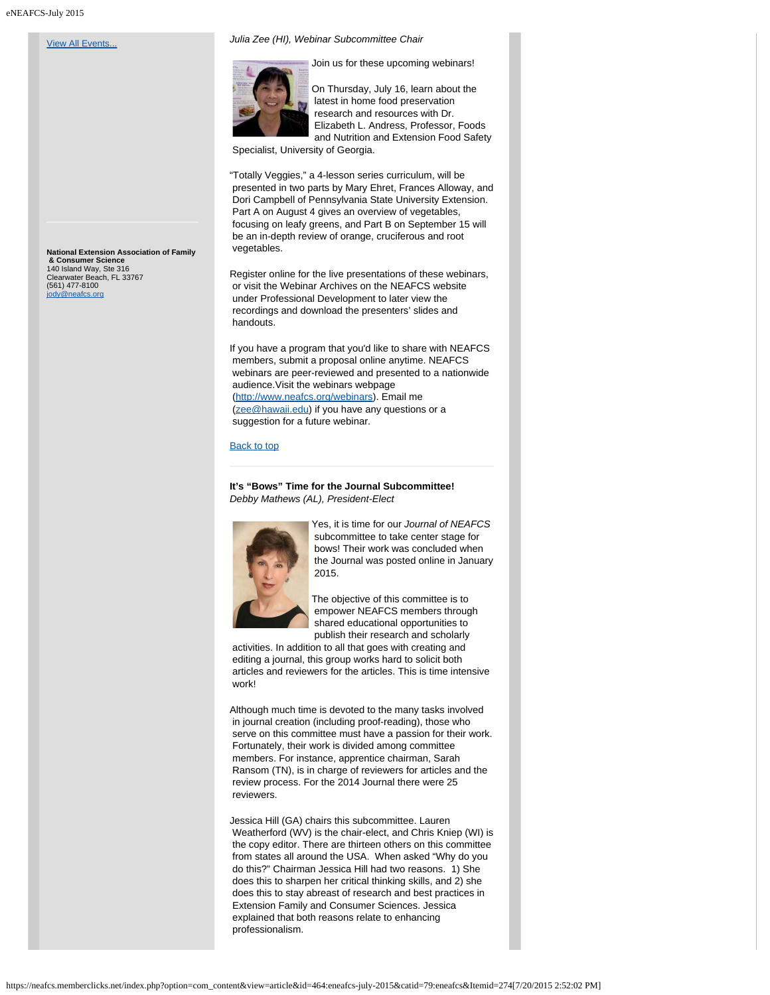### **[View All Events...](https://neafcs.memberclicks.net/index.php?option=com_mc&view=mc&mcid=9)**

*Julia Zee (HI), Webinar Subcommittee Chair*



Join us for these upcoming webinars!

On Thursday, July 16, learn about the latest in home food preservation research and resources with Dr. Elizabeth L. Andress, Professor, Foods and Nutrition and Extension Food Safety

Specialist, University of Georgia.

"Totally Veggies," a 4-lesson series curriculum, will be presented in two parts by Mary Ehret, Frances Alloway, and Dori Campbell of Pennsylvania State University Extension. Part A on August 4 gives an overview of vegetables, focusing on leafy greens, and Part B on September 15 will be an in-depth review of orange, cruciferous and root vegetables.

Register online for the live presentations of these webinars, or visit the Webinar Archives on the NEAFCS website under Professional Development to later view the recordings and download the presenters' slides and handouts.

If you have a program that you'd like to share with NEAFCS members, submit a proposal online anytime. NEAFCS webinars are peer-reviewed and presented to a nationwide audience.Visit the webinars webpage [\(http://www.neafcs.org/webinars](http://www.neafcs.org/webinars)). Email me [\(zee@hawaii.edu](mailto:zee@hawaii.edu)) if you have any questions or a suggestion for a future webinar.

#### [Back to top](#page-0-3)

**It's "Bows" Time for the Journal Subcommittee!** *Debby Mathews (AL), President-Elect*

<span id="page-1-0"></span>

Yes, it is time for our *Journal of NEAFCS* subcommittee to take center stage for bows! Their work was concluded when the Journal was posted online in January 2015.

The objective of this committee is to empower NEAFCS members through shared educational opportunities to publish their research and scholarly

 activities. In addition to all that goes with creating and editing a journal, this group works hard to solicit both articles and reviewers for the articles. This is time intensive work!

Although much time is devoted to the many tasks involved in journal creation (including proof-reading), those who serve on this committee must have a passion for their work. Fortunately, their work is divided among committee members. For instance, apprentice chairman, Sarah Ransom (TN), is in charge of reviewers for articles and the review process. For the 2014 Journal there were 25 reviewers.

Jessica Hill (GA) chairs this subcommittee. Lauren Weatherford (WV) is the chair-elect, and Chris Kniep (WI) is the copy editor. There are thirteen others on this committee from states all around the USA. When asked "Why do you do this?" Chairman Jessica Hill had two reasons. 1) She does this to sharpen her critical thinking skills, and 2) she does this to stay abreast of research and best practices in Extension Family and Consumer Sciences. Jessica explained that both reasons relate to enhancing professionalism.

**National Extension Association of Family & Consumer Science** 140 Island Way, Ste 316 Clearwater Beach, FL 33767 (561) 477-8100 .<br>@neafcs.org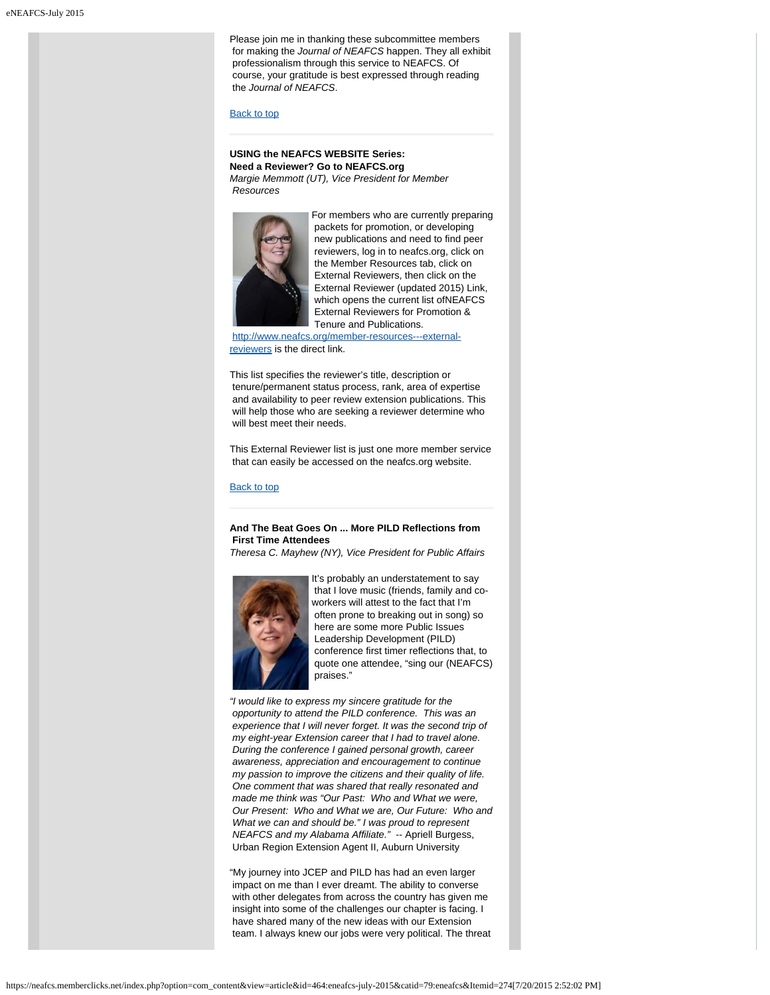Please join me in thanking these subcommittee members for making the *Journal of NEAFCS* happen. They all exhibit professionalism through this service to NEAFCS. Of course, your gratitude is best expressed through reading the *Journal of NEAFCS*.

#### [Back to top](#page-0-3)

## <span id="page-2-0"></span>**USING the NEAFCS WEBSITE Series: Need a Reviewer? Go to NEAFCS.org**

*Margie Memmott (UT), Vice President for Member Resources*



For members who are currently preparing packets for promotion, or developing new publications and need to find peer reviewers, log in to neafcs.org, click on the Member Resources tab, click on External Reviewers, then click on the External Reviewer (updated 2015) Link, which opens the current list ofNEAFCS External Reviewers for Promotion & Tenure and Publications.

[http://www.neafcs.org/member-resources---external](http://www.neafcs.org/member-resources---external-reviewers)[reviewers](http://www.neafcs.org/member-resources---external-reviewers) is the direct link.

This list specifies the reviewer's title, description or tenure/permanent status process, rank, area of expertise and availability to peer review extension publications. This will help those who are seeking a reviewer determine who will best meet their needs.

This External Reviewer list is just one more member service that can easily be accessed on the neafcs.org website.

[Back to top](#page-0-3)

# **And The Beat Goes On ... More PILD Reflections from First Time Attendees**

*Theresa C. Mayhew (NY), Vice President for Public Affairs*

<span id="page-2-1"></span>

It's probably an understatement to say that I love music (friends, family and coworkers will attest to the fact that I'm often prone to breaking out in song) so here are some more Public Issues Leadership Development (PILD) conference first timer reflections that, to quote one attendee, "sing our (NEAFCS) praises."

*"I would like to express my sincere gratitude for the opportunity to attend the PILD conference. This was an experience that I will never forget. It was the second trip of my eight-year Extension career that I had to travel alone. During the conference I gained personal growth, career awareness, appreciation and encouragement to continue my passion to improve the citizens and their quality of life. One comment that was shared that really resonated and made me think was "Our Past: Who and What we were, Our Present: Who and What we are, Our Future: Who and What we can and should be." I was proud to represent NEAFCS and my Alabama Affiliate."* -- Apriell Burgess, Urban Region Extension Agent II, Auburn University

"My journey into JCEP and PILD has had an even larger impact on me than I ever dreamt. The ability to converse with other delegates from across the country has given me insight into some of the challenges our chapter is facing. I have shared many of the new ideas with our Extension team. I always knew our jobs were very political. The threat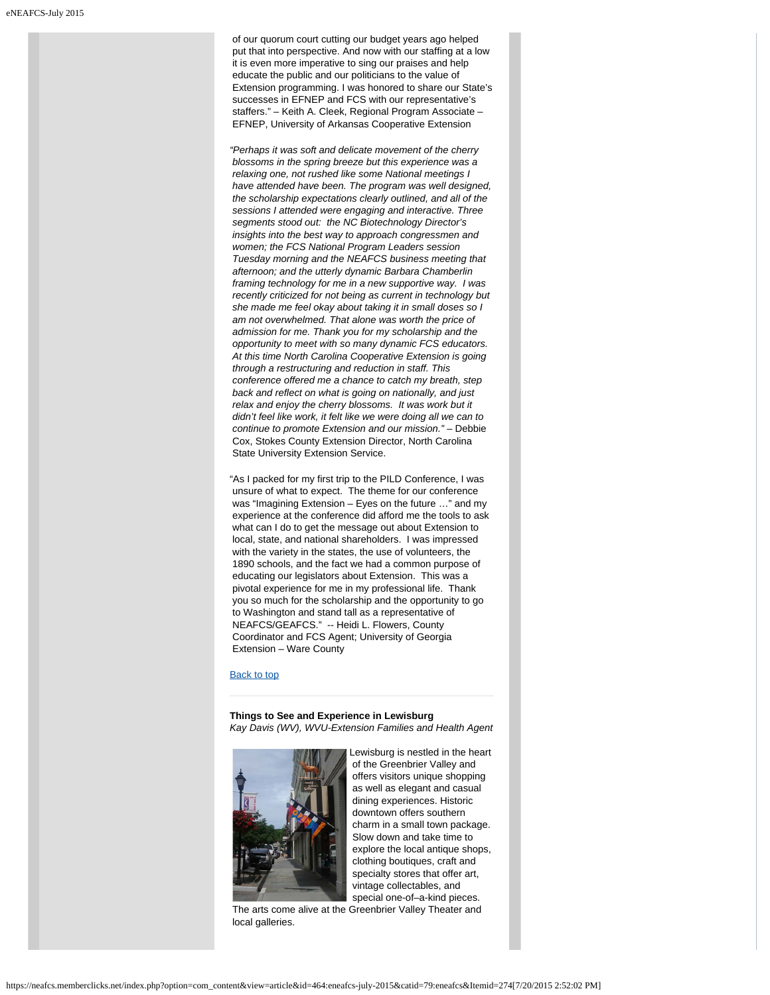of our quorum court cutting our budget years ago helped put that into perspective. And now with our staffing at a low it is even more imperative to sing our praises and help educate the public and our politicians to the value of Extension programming. I was honored to share our State's successes in EFNEP and FCS with our representative's staffers." – Keith A. Cleek, Regional Program Associate – EFNEP, University of Arkansas Cooperative Extension

*"Perhaps it was soft and delicate movement of the cherry blossoms in the spring breeze but this experience was a relaxing one, not rushed like some National meetings I have attended have been. The program was well designed, the scholarship expectations clearly outlined, and all of the sessions I attended were engaging and interactive. Three segments stood out: the NC Biotechnology Director's insights into the best way to approach congressmen and women; the FCS National Program Leaders session Tuesday morning and the NEAFCS business meeting that afternoon; and the utterly dynamic Barbara Chamberlin framing technology for me in a new supportive way. I was recently criticized for not being as current in technology but she made me feel okay about taking it in small doses so I am not overwhelmed. That alone was worth the price of admission for me. Thank you for my scholarship and the opportunity to meet with so many dynamic FCS educators. At this time North Carolina Cooperative Extension is going through a restructuring and reduction in staff. This conference offered me a chance to catch my breath, step back and reflect on what is going on nationally, and just relax and enjoy the cherry blossoms. It was work but it didn't feel like work, it felt like we were doing all we can to continue to promote Extension and our mission."* – Debbie Cox, Stokes County Extension Director, North Carolina State University Extension Service.

"As I packed for my first trip to the PILD Conference, I was unsure of what to expect. The theme for our conference was "Imagining Extension – Eyes on the future …" and my experience at the conference did afford me the tools to ask what can I do to get the message out about Extension to local, state, and national shareholders. I was impressed with the variety in the states, the use of volunteers, the 1890 schools, and the fact we had a common purpose of educating our legislators about Extension. This was a pivotal experience for me in my professional life. Thank you so much for the scholarship and the opportunity to go to Washington and stand tall as a representative of NEAFCS/GEAFCS." -- Heidi L. Flowers, County Coordinator and FCS Agent; University of Georgia Extension – Ware County

## [Back to top](#page-0-3)

**Things to See and Experience in Lewisburg** *Kay Davis (WV), WVU-Extension Families and Health Agent*

<span id="page-3-0"></span>

Lewisburg is nestled in the heart of the Greenbrier Valley and offers visitors unique shopping as well as elegant and casual dining experiences. Historic downtown offers southern charm in a small town package. Slow down and take time to explore the local antique shops, clothing boutiques, craft and specialty stores that offer art, vintage collectables, and special one-of–a-kind pieces.

 The arts come alive at the Greenbrier Valley Theater and local galleries.